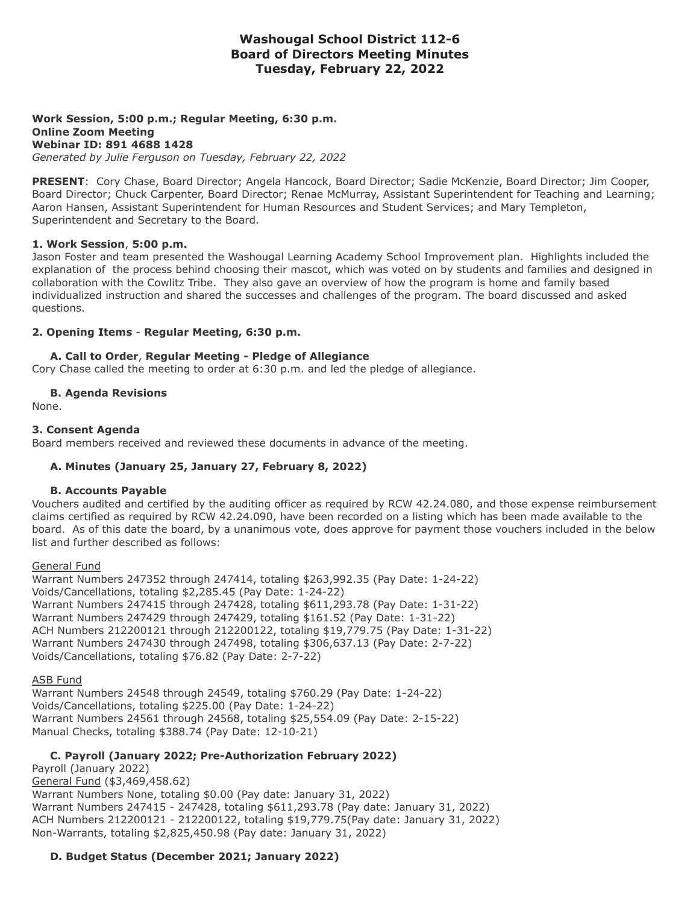# **Washougal School District 112-6 Board of Directors Meeting Minutes Tuesday, February 22, 2022**

#### **Work Session, 5:00 p.m.; Regular Meeting, 6:30 p.m. Online Zoom Meeting Webinar ID: 891 4688 1428** *Generated by Julie Ferguson on Tuesday, February 22, 2022*

**PRESENT**: Cory Chase, Board Director; Angela Hancock, Board Director; Sadie McKenzie, Board Director; Jim Cooper, Board Director; Chuck Carpenter, Board Director; Renae McMurray, Assistant Superintendent for Teaching and Learning; Aaron Hansen, Assistant Superintendent for Human Resources and Student Services; and Mary Templeton, Superintendent and Secretary to the Board.

#### **1. Work Session**, **5:00 p.m.**

Jason Foster and team presented the Washougal Learning Academy School Improvement plan. Highlights included the explanation of the process behind choosing their mascot, which was voted on by students and families and designed in collaboration with the Cowlitz Tribe. They also gave an overview of how the program is home and family based individualized instruction and shared the successes and challenges of the program. The board discussed and asked questions.

# **2. Opening Items** - **Regular Meeting, 6:30 p.m.**

# **A. Call to Order**, **Regular Meeting - Pledge of Allegiance**

Cory Chase called the meeting to order at 6:30 p.m. and led the pledge of allegiance.

# **B. Agenda Revisions**

None.

# **3. Consent Agenda**

Board members received and reviewed these documents in advance of the meeting.

# **A. Minutes (January 25, January 27, February 8, 2022)**

#### **B. Accounts Payable**

Vouchers audited and certified by the auditing officer as required by RCW 42.24.080, and those expense reimbursement claims certified as required by RCW 42.24.090, have been recorded on a listing which has been made available to the board. As of this date the board, by a unanimous vote, does approve for payment those vouchers included in the below list and further described as follows:

#### General Fund

Warrant Numbers 247352 through 247414, totaling \$263,992.35 (Pay Date: 1-24-22) Voids/Cancellations, totaling \$2,285.45 (Pay Date: 1-24-22) Warrant Numbers 247415 through 247428, totaling \$611,293.78 (Pay Date: 1-31-22) Warrant Numbers 247429 through 247429, totaling \$161.52 (Pay Date: 1-31-22) ACH Numbers 212200121 through 212200122, totaling \$19,779.75 (Pay Date: 1-31-22) Warrant Numbers 247430 through 247498, totaling \$306,637.13 (Pay Date: 2-7-22) Voids/Cancellations, totaling \$76.82 (Pay Date: 2-7-22)

#### ASB Fund

Warrant Numbers 24548 through 24549, totaling \$760.29 (Pay Date: 1-24-22) Voids/Cancellations, totaling \$225.00 (Pay Date: 1-24-22) Warrant Numbers 24561 through 24568, totaling \$25,554.09 (Pay Date: 2-15-22) Manual Checks, totaling \$388.74 (Pay Date: 12-10-21)

# **C. Payroll (January 2022; Pre-Authorization February 2022)**

Payroll (January 2022) General Fund (\$3,469,458.62) Warrant Numbers None, totaling \$0.00 (Pay date: January 31, 2022) Warrant Numbers 247415 - 247428, totaling \$611,293.78 (Pay date: January 31, 2022) ACH Numbers 212200121 - 212200122, totaling \$19,779.75(Pay date: January 31, 2022) Non-Warrants, totaling \$2,825,450.98 (Pay date: January 31, 2022)

# **D. Budget Status (December 2021; January 2022)**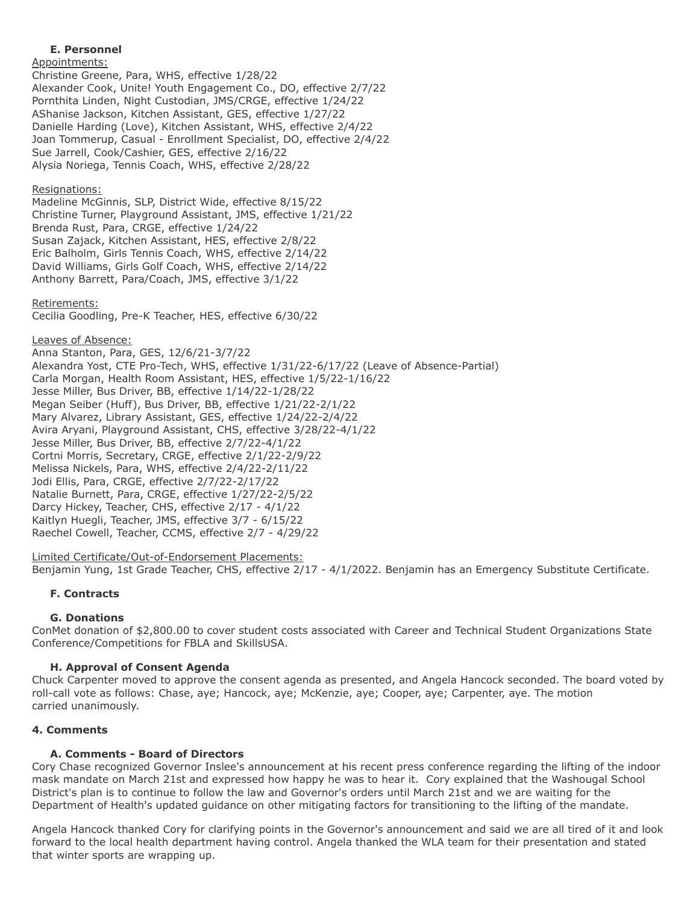### **E. Personnel**

Appointments:

Christine Greene, Para, WHS, effective 1/28/22 Alexander Cook, Unite! Youth Engagement Co., DO, effective 2/7/22 Pornthita Linden, Night Custodian, JMS/CRGE, effective 1/24/22 AShanise Jackson, Kitchen Assistant, GES, effective 1/27/22 Danielle Harding (Love), Kitchen Assistant, WHS, effective 2/4/22 Joan Tommerup, Casual - Enrollment Specialist, DO, effective 2/4/22 Sue Jarrell, Cook/Cashier, GES, effective 2/16/22 Alysia Noriega, Tennis Coach, WHS, effective 2/28/22

### Resignations:

Madeline McGinnis, SLP, District Wide, effective 8/15/22 Christine Turner, Playground Assistant, JMS, effective 1/21/22 Brenda Rust, Para, CRGE, effective 1/24/22 Susan Zajack, Kitchen Assistant, HES, effective 2/8/22 Eric Balholm, Girls Tennis Coach, WHS, effective 2/14/22 David Williams, Girls Golf Coach, WHS, effective 2/14/22 Anthony Barrett, Para/Coach, JMS, effective 3/1/22

#### Retirements:

Cecilia Goodling, Pre-K Teacher, HES, effective 6/30/22

#### Leaves of Absence:

Anna Stanton, Para, GES, 12/6/21-3/7/22 Alexandra Yost, CTE Pro-Tech, WHS, effective 1/31/22-6/17/22 (Leave of Absence-Partial) Carla Morgan, Health Room Assistant, HES, effective 1/5/22-1/16/22 Jesse Miller, Bus Driver, BB, effective 1/14/22-1/28/22 Megan Seiber (Huff), Bus Driver, BB, effective 1/21/22-2/1/22 Mary Alvarez, Library Assistant, GES, effective 1/24/22-2/4/22 Avira Aryani, Playground Assistant, CHS, effective 3/28/22-4/1/22 Jesse Miller, Bus Driver, BB, effective 2/7/22-4/1/22 Cortni Morris, Secretary, CRGE, effective 2/1/22-2/9/22 Melissa Nickels, Para, WHS, effective 2/4/22-2/11/22 Jodi Ellis, Para, CRGE, effective 2/7/22-2/17/22 Natalie Burnett, Para, CRGE, effective 1/27/22-2/5/22 Darcy Hickey, Teacher, CHS, effective 2/17 - 4/1/22 Kaitlyn Huegli, Teacher, JMS, effective 3/7 - 6/15/22 Raechel Cowell, Teacher, CCMS, effective 2/7 - 4/29/22

#### Limited Certificate/Out-of-Endorsement Placements:

Benjamin Yung, 1st Grade Teacher, CHS, effective 2/17 - 4/1/2022. Benjamin has an Emergency Substitute Certificate.

#### **F. Contracts**

#### **G. Donations**

ConMet donation of \$2,800.00 to cover student costs associated with Career and Technical Student Organizations State Conference/Competitions for FBLA and SkillsUSA.

#### **H. Approval of Consent Agenda**

Chuck Carpenter moved to approve the consent agenda as presented, and Angela Hancock seconded. The board voted by roll-call vote as follows: Chase, aye; Hancock, aye; McKenzie, aye; Cooper, aye; Carpenter, aye. The motion carried unanimously.

### **4. Comments**

#### **A. Comments - Board of Directors**

Cory Chase recognized Governor Inslee's announcement at his recent press conference regarding the lifting of the indoor mask mandate on March 21st and expressed how happy he was to hear it. Cory explained that the Washougal School District's plan is to continue to follow the law and Governor's orders until March 21st and we are waiting for the Department of Health's updated guidance on other mitigating factors for transitioning to the lifting of the mandate.

Angela Hancock thanked Cory for clarifying points in the Governor's announcement and said we are all tired of it and look forward to the local health department having control. Angela thanked the WLA team for their presentation and stated that winter sports are wrapping up.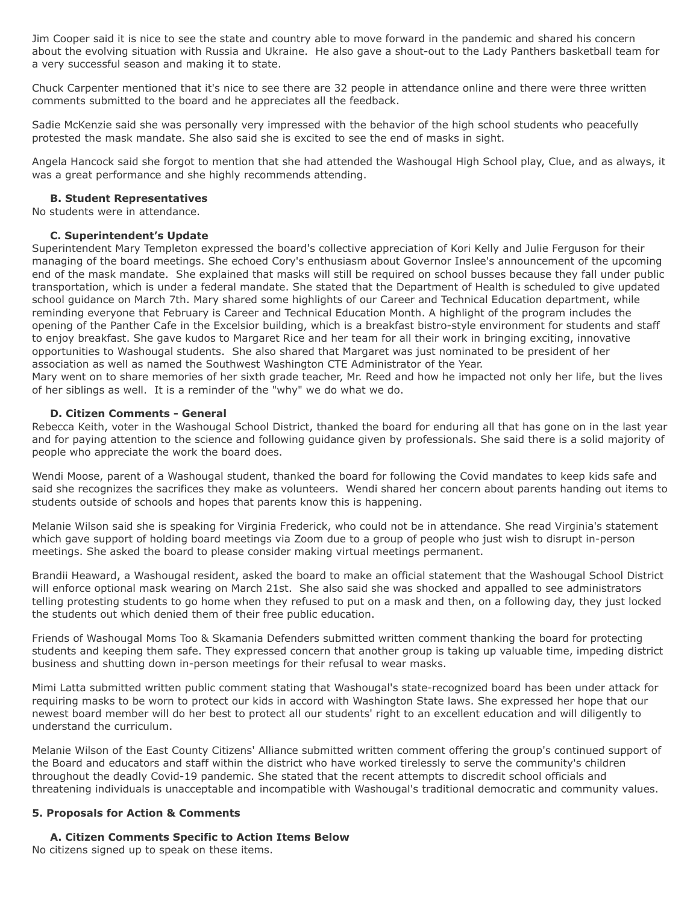Jim Cooper said it is nice to see the state and country able to move forward in the pandemic and shared his concern about the evolving situation with Russia and Ukraine. He also gave a shout-out to the Lady Panthers basketball team for a very successful season and making it to state.

Chuck Carpenter mentioned that it's nice to see there are 32 people in attendance online and there were three written comments submitted to the board and he appreciates all the feedback.

Sadie McKenzie said she was personally very impressed with the behavior of the high school students who peacefully protested the mask mandate. She also said she is excited to see the end of masks in sight.

Angela Hancock said she forgot to mention that she had attended the Washougal High School play, Clue, and as always, it was a great performance and she highly recommends attending.

#### **B. Student Representatives**

No students were in attendance.

#### **C. Superintendent's Update**

Superintendent Mary Templeton expressed the board's collective appreciation of Kori Kelly and Julie Ferguson for their managing of the board meetings. She echoed Cory's enthusiasm about Governor Inslee's announcement of the upcoming end of the mask mandate. She explained that masks will still be required on school busses because they fall under public transportation, which is under a federal mandate. She stated that the Department of Health is scheduled to give updated school guidance on March 7th. Mary shared some highlights of our Career and Technical Education department, while reminding everyone that February is Career and Technical Education Month. A highlight of the program includes the opening of the Panther Cafe in the Excelsior building, which is a breakfast bistro-style environment for students and staff to enjoy breakfast. She gave kudos to Margaret Rice and her team for all their work in bringing exciting, innovative opportunities to Washougal students. She also shared that Margaret was just nominated to be president of her association as well as named the Southwest Washington CTE Administrator of the Year.

Mary went on to share memories of her sixth grade teacher, Mr. Reed and how he impacted not only her life, but the lives of her siblings as well. It is a reminder of the "why" we do what we do.

#### **D. Citizen Comments - General**

Rebecca Keith, voter in the Washougal School District, thanked the board for enduring all that has gone on in the last year and for paying attention to the science and following guidance given by professionals. She said there is a solid majority of people who appreciate the work the board does.

Wendi Moose, parent of a Washougal student, thanked the board for following the Covid mandates to keep kids safe and said she recognizes the sacrifices they make as volunteers. Wendi shared her concern about parents handing out items to students outside of schools and hopes that parents know this is happening.

Melanie Wilson said she is speaking for Virginia Frederick, who could not be in attendance. She read Virginia's statement which gave support of holding board meetings via Zoom due to a group of people who just wish to disrupt in-person meetings. She asked the board to please consider making virtual meetings permanent.

Brandii Heaward, a Washougal resident, asked the board to make an official statement that the Washougal School District will enforce optional mask wearing on March 21st. She also said she was shocked and appalled to see administrators telling protesting students to go home when they refused to put on a mask and then, on a following day, they just locked the students out which denied them of their free public education.

Friends of Washougal Moms Too & Skamania Defenders submitted written comment thanking the board for protecting students and keeping them safe. They expressed concern that another group is taking up valuable time, impeding district business and shutting down in-person meetings for their refusal to wear masks.

Mimi Latta submitted written public comment stating that Washougal's state-recognized board has been under attack for requiring masks to be worn to protect our kids in accord with Washington State laws. She expressed her hope that our newest board member will do her best to protect all our students' right to an excellent education and will diligently to understand the curriculum.

Melanie Wilson of the East County Citizens' Alliance submitted written comment offering the group's continued support of the Board and educators and staff within the district who have worked tirelessly to serve the community's children throughout the deadly Covid-19 pandemic. She stated that the recent attempts to discredit school officials and threatening individuals is unacceptable and incompatible with Washougal's traditional democratic and community values.

#### **5. Proposals for Action & Comments**

#### **A. Citizen Comments Specific to Action Items Below**

No citizens signed up to speak on these items.